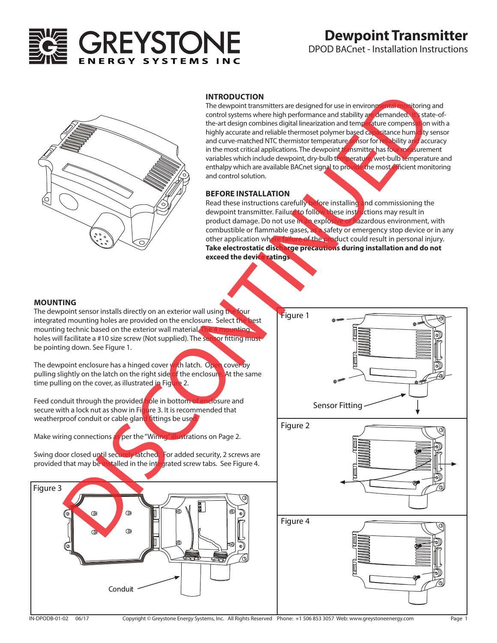

# **Dewpoint Transmitter**

DPOD BACnet - Installation Instructions



#### **INTRODUCTION**

The dewpoint transmitters are designed for use in environmental monitoring and control systems where high performance and stability are demanded. It's state-ofthe-art design combines digital linearization and temperature compensation with a highly accurate and reliable thermoset polymer based capacitance humidity sensor and curve-matched NTC thermistor temperature sensor for reliability and accuracy in the most critical applications. The dewpoint transmitter has four measurement variables which include dewpoint, dry-bulb temperature, wet-bulb temperature and enthalpy which are available BACnet signal to provide the most efficient monitoring and control solution.

### **BEFORE INSTALLATION**

Read these instructions carefully before installing and commissioning the dewpoint transmitter. Failure to follow these instructions may result in product damage. Do not use in an explosive or hazardous environment, with combustible or flammable gases, as a safety or emergency stop device or in any other application where failure of the product could result in personal injury. **Take electrostatic discharge precautions during installation and do not exceed the device ratings**.

#### **MOUNTING**

The dewpoint sensor installs directly on an exterior wall using the four integrated mounting holes are provided on the enclosure. Select the mounting technic based on the exterior wall material. The holes will facilitate a #10 size screw (Not supplied). The sensor fitting must be pointing down. See Figure 1.

The dewpoint enclosure has a hinged cover with latch. Open cover by pulling slightly on the latch on the right side of the enclosure. At the same time pulling on the cover, as illustrated in Figure 2.

Feed conduit through the provided hole in bottom of enclosure and secure with a lock nut as show in Figure 3. It is recommended that weatherproof conduit or cable gland fittings be used

Make wiring connections as per the "Wiring" illustrations on Page 2.

Swing door closed until securely latched. For added security, 2 screws are provided that may be installed in the integrated screw tabs. See Figure 4.



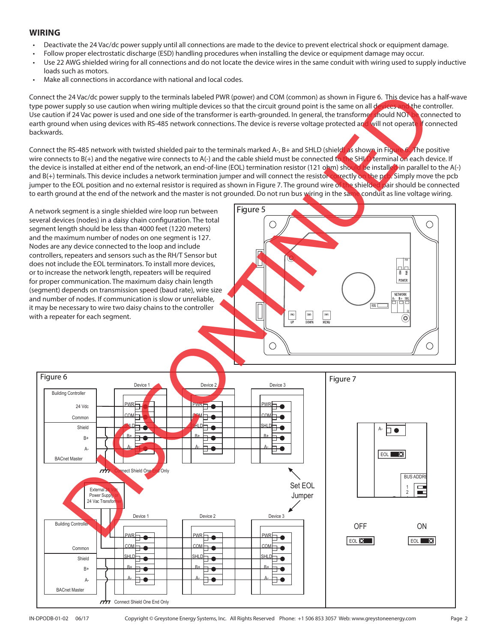# **WIRING**

- Deactivate the 24 Vac/dc power supply until all connections are made to the device to prevent electrical shock or equipment damage.
- Follow proper electrostatic discharge (ESD) handling procedures when installing the device or equipment damage may occur.
- Use 22 AWG shielded wiring for all connections and do not locate the device wires in the same conduit with wiring used to supply inductive loads such as motors.
- Make all connections in accordance with national and local codes.

Connect the 24 Vac/dc power supply to the terminals labeled PWR (power) and COM (common) as shown in Figure 6. This device has a half-wave type power supply so use caution when wiring multiple devices so that the circuit ground point is the same on all devices and the controller. Use caution if 24 Vac power is used and one side of the transformer is earth-grounded. In general, the transformer should NOT be connected to earth ground when using devices with RS-485 network connections. The device is reverse voltage protected and will not operate if connected backwards.

Connect the RS-485 network with twisted shielded pair to the terminals marked A-, B+ and SHLD (shield) as shown in Figure 6. The positive wire connects to B(+) and the negative wire connects to A(-) and the cable shield must be connected to the SHLD terminal on each device. If<br>the device is installed at either end of the network, an end-of-line (EOL) termina the device is installed at either end of the network, an end-of-line (EOL) termination resistor (121 ohm) shoul and B(+) terminals. This device includes a network termination jumper and will connect the resistor correctly on the pcb. Simply move the pcb.<br>iumper to the EOL position and no external resistor is required as shown in Fiq jumper to the EOL position and no external resistor is required as shown in Figure 7. The ground wire of the shielde to earth ground at the end of the network and the master is not grounded. Do not run bus wiring in the same conduit as line voltage wiring.

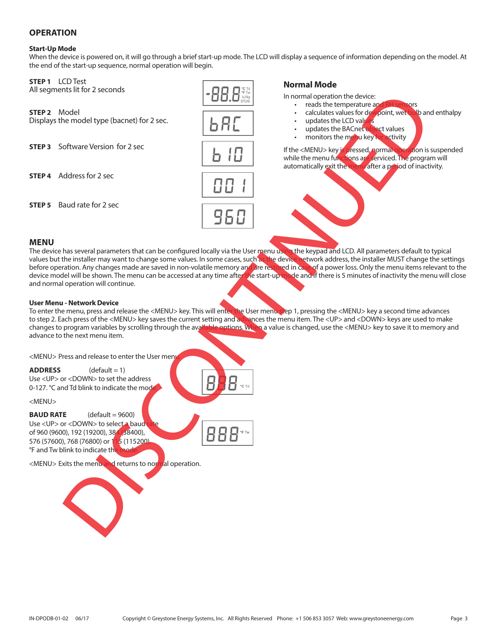# **OPERATION**

### **Start-Up Mode**

When the device is powered on, it will go through a brief start-up mode. The LCD will display a sequence of information depending on the model. At the end of the start-up sequence, normal operation will begin.

### **STEP 1** LCD Test

All segments lit for 2 seconds

**STEP 2** Model<br>Displays the model type (bacnet) for 2 sec.

**STEP 3** Software Version for 2 sec

**STEP 4** Address for 2 sec

**STEP 5** Baud rate for 2 sec



# **Normal Mode**

In normal operation the device:

- 
- reads the temperature and RH sensors<br>calculates values for devipoint, wet bulb and enthalpy • calculates values for dewpoint, wet
- updates the LCD values
- updates the BACnet object values
- monitors the menu key for activity

If the <MENU> key is pressed, normal operation is suspended while the menu functions are serviced. The program will automatically exit the menu after a period of inactivity.

### **MENU**

The device has several parameters that can be configured locally via the User menu using the keypad and LCD. All parameters default to typical values but the installer may want to change some values. In some cases, such as the device network address, the installer MUST change the settings before operation. Any changes made are saved in non-volatile memory and are restored in case of a power loss. Only the menu items relevant to the device model will be shown. The menu can be accessed at any time after the start-up mode and if there is 5 minutes of inactivity the menu will close and normal operation will continue. DISCONTINUED

#### **User Menu - Network Device**

To enter the menu, press and release the <MENU> key. This will enter the User menustep 1, pressing the <MENU> key a second time advances to step 2. Each press of the <MENU> key saves the current setting and advances the menu item. The <UP> and <DOWN> keys are used to make changes to program variables by scrolling through the available options. When a value is changed, use the <MENU> key to save it to memory and advance to the next menu item.

<MENU> Press and release to enter the User men

**ADDRESS** (default = 1) Use <UP> or <DOWN> to set the address 0-127. °C and Td blink to indicate the mode

<MENU>

**BAUD RATE** (default = 9600) Use <UP> or <DOWN> to selecta baud of 960 (9600), 192 (19200), 384 (38400), 576 (57600), 768 (76800) or 115 (115200). °F and Tw blink to indicate th

<MENU> Exits the menu and returns to normal operation.



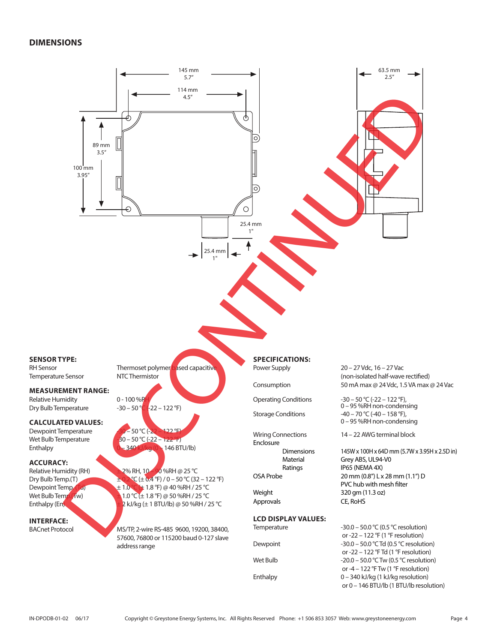## **DIMENSIONS**

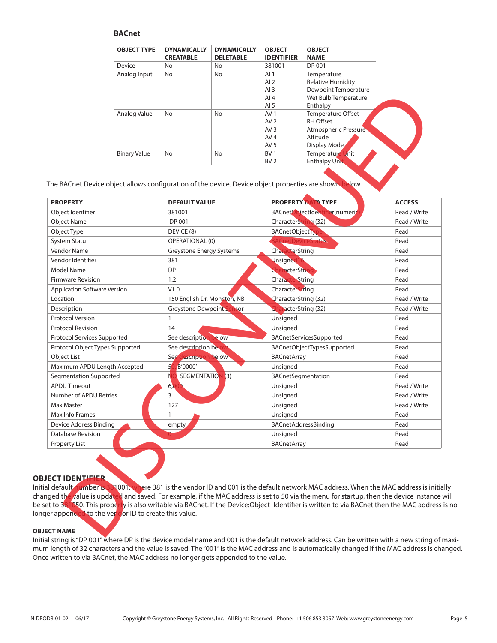### **BACnet**

| <b>OBJECT TYPE</b>  | <b>DYNAMICALLY</b><br><b>CREATABLE</b> | <b>DYNAMICALLY</b><br><b>DELETABLE</b> | <b>OBJECT</b><br><b>IDENTIFIER</b> | <b>OBJECT</b><br><b>NAME</b> |  |
|---------------------|----------------------------------------|----------------------------------------|------------------------------------|------------------------------|--|
| Device              | No                                     | No                                     | 381001                             | DP 001                       |  |
| Analog Input        | No                                     | No.                                    | AI <sub>1</sub>                    | Temperature                  |  |
|                     |                                        |                                        | AI $2$                             | <b>Relative Humidity</b>     |  |
|                     |                                        |                                        | AI $3$                             | Dewpoint Temperature         |  |
|                     |                                        |                                        | AI $4$                             | Wet Bulb Temperature         |  |
|                     |                                        |                                        | AI $5$                             | Enthalpy                     |  |
| Analog Value        | No                                     | <b>No</b>                              | AV <sub>1</sub>                    | Temperature Offset           |  |
|                     |                                        |                                        | AV <sub>2</sub>                    | <b>RH Offset</b>             |  |
|                     |                                        |                                        | AV <sub>3</sub>                    | Atmospheric Pressure         |  |
|                     |                                        |                                        | AV <sub>4</sub>                    | Altitude                     |  |
|                     |                                        |                                        | AV <sub>5</sub>                    | Display Mode                 |  |
| <b>Binary Value</b> | No                                     | <b>No</b>                              | BV <sub>1</sub>                    | Temperature Unit             |  |
|                     |                                        |                                        | BV <sub>2</sub>                    | <b>Enthalpy Unit</b>         |  |

|                                                     |                                                     |                                  |              | כ וא<br>AI4             | Dewpolitic temperature<br>Wet Bulb Temperature                                                                                                                                                                                                                                                                                                                                                                                      |                              |
|-----------------------------------------------------|-----------------------------------------------------|----------------------------------|--------------|-------------------------|-------------------------------------------------------------------------------------------------------------------------------------------------------------------------------------------------------------------------------------------------------------------------------------------------------------------------------------------------------------------------------------------------------------------------------------|------------------------------|
|                                                     |                                                     |                                  |              | AI <sub>5</sub>         | Enthalpy                                                                                                                                                                                                                                                                                                                                                                                                                            |                              |
|                                                     | Analog Value                                        | No                               | No           | AV <sub>1</sub>         | Temperature Offset                                                                                                                                                                                                                                                                                                                                                                                                                  |                              |
|                                                     |                                                     |                                  |              | AV <sub>2</sub>         | RH Offset                                                                                                                                                                                                                                                                                                                                                                                                                           |                              |
|                                                     |                                                     |                                  |              | AV <sub>3</sub><br>AV 4 | Atmospheric Pressure<br>Altitude                                                                                                                                                                                                                                                                                                                                                                                                    |                              |
|                                                     |                                                     |                                  |              | AV 5                    | Display Mode                                                                                                                                                                                                                                                                                                                                                                                                                        |                              |
|                                                     | <b>Binary Value</b>                                 | No                               | No           | BV 1                    | Temperature Unit                                                                                                                                                                                                                                                                                                                                                                                                                    |                              |
|                                                     |                                                     |                                  |              | BV <sub>2</sub>         | <b>Enthalpy Unit</b>                                                                                                                                                                                                                                                                                                                                                                                                                |                              |
|                                                     |                                                     |                                  |              |                         | The BACnet Device object allows configuration of the device. Device object properties are shown below.                                                                                                                                                                                                                                                                                                                              |                              |
| <b>PROPERTY</b>                                     |                                                     | <b>DEFAULT VALUE</b>             |              |                         | <b>PROPERTY DATA TYPE</b>                                                                                                                                                                                                                                                                                                                                                                                                           | <b>ACCESS</b>                |
| Object Identifier                                   |                                                     | 381001                           |              |                         | BACnetObjectIdentifier(numeric                                                                                                                                                                                                                                                                                                                                                                                                      | Read / Write                 |
| <b>Object Name</b>                                  |                                                     | DP 001                           |              |                         | CharacterString (32)                                                                                                                                                                                                                                                                                                                                                                                                                | Read / Write                 |
| Object Type                                         |                                                     | DEVICE (8)                       |              | <b>BACnetObjectTyp</b>  |                                                                                                                                                                                                                                                                                                                                                                                                                                     | Read                         |
| System Statu                                        |                                                     | <b>OPERATIONAL (0)</b>           |              |                         | CnetDeviceStatus                                                                                                                                                                                                                                                                                                                                                                                                                    | Read                         |
| Vendor Name                                         |                                                     | Greystone Energy Systems         |              | CharacterString         |                                                                                                                                                                                                                                                                                                                                                                                                                                     | Read                         |
| Vendor Identifier                                   |                                                     | 381                              |              | Unsigned 16             |                                                                                                                                                                                                                                                                                                                                                                                                                                     | Read                         |
| Model Name                                          |                                                     | <b>DP</b>                        |              | CharacterString         |                                                                                                                                                                                                                                                                                                                                                                                                                                     | Read                         |
| <b>Firmware Revision</b>                            |                                                     | 1.2                              |              | CharacterString         |                                                                                                                                                                                                                                                                                                                                                                                                                                     | Read                         |
| <b>Application Software Version</b>                 |                                                     | V1.0                             |              | CharacterString         |                                                                                                                                                                                                                                                                                                                                                                                                                                     | Read                         |
| Location                                            |                                                     | 150 English Dr, Moncton, NB      |              |                         | CharacterString (32)                                                                                                                                                                                                                                                                                                                                                                                                                |                              |
| Description                                         |                                                     | <b>Greystone Dewpoint Sensor</b> |              |                         | <b>CharacterString (32)</b>                                                                                                                                                                                                                                                                                                                                                                                                         | Read / Write<br>Read / Write |
| <b>Protocol Version</b>                             |                                                     |                                  | $\mathbf{1}$ |                         | Unsigned                                                                                                                                                                                                                                                                                                                                                                                                                            | Read                         |
| <b>Protocol Revision</b>                            |                                                     |                                  | 14           |                         |                                                                                                                                                                                                                                                                                                                                                                                                                                     | Read                         |
| Protocol Services Supported                         |                                                     | See description below            |              | Unsigned                | BACnetServicesSupported                                                                                                                                                                                                                                                                                                                                                                                                             | Read                         |
| Protocol Object Types Supported                     |                                                     | See description belo             |              |                         | BACnetObjectTypesSupported                                                                                                                                                                                                                                                                                                                                                                                                          | Read                         |
| Object List                                         |                                                     | See description below            |              | <b>BACnetArray</b>      |                                                                                                                                                                                                                                                                                                                                                                                                                                     | Read                         |
| Maximum APDU Length Accepted                        |                                                     | 5(<br>B'0000'                    |              | Unsigned                |                                                                                                                                                                                                                                                                                                                                                                                                                                     | Read                         |
| Segmentation Supported                              |                                                     | N<br>SEGMENTATION                | (3)          |                         | BACnetSegmentation                                                                                                                                                                                                                                                                                                                                                                                                                  | Read                         |
| <b>APDU Timeout</b>                                 |                                                     | 6 <sub>l</sub>                   |              | Unsigned                |                                                                                                                                                                                                                                                                                                                                                                                                                                     | Read / Write                 |
| Number of APDU Retries                              |                                                     | 3                                |              | Unsigned                |                                                                                                                                                                                                                                                                                                                                                                                                                                     | Read / Write                 |
| Max Master                                          |                                                     | 127                              |              | Unsigned                |                                                                                                                                                                                                                                                                                                                                                                                                                                     | Read / Write                 |
| Max Info Frames                                     |                                                     | $\mathbf{1}$                     |              | Unsigned                |                                                                                                                                                                                                                                                                                                                                                                                                                                     | Read                         |
| Device Address Binding                              |                                                     | empty                            |              |                         | BACnetAddressBinding                                                                                                                                                                                                                                                                                                                                                                                                                | Read                         |
| <b>Database Revision</b>                            |                                                     |                                  |              | Unsigned                |                                                                                                                                                                                                                                                                                                                                                                                                                                     | Read                         |
|                                                     |                                                     |                                  |              |                         |                                                                                                                                                                                                                                                                                                                                                                                                                                     |                              |
| <b>Property List</b><br>JECT IDENTI <del>FIER</del> | ger appended to the vendor ID to create this value. |                                  |              | <b>BACnetArray</b>      | al default number is 381001, where 381 is the vendor ID and 001 is the default network MAC address. When the MAC address is initia<br>nged th <mark>e v</mark> alue is updated and saved. For example, if the MAC address is set to 50 via the menu for startup, then the device instance<br>et to 381050. This properly is also writable via BACnet. If the Device:Object_Identifier is written to via BACnet then the MAC address | Read                         |

#### **OBJECT IDENTIFIER**

Initial default number is 381001, where 381 is the vendor ID and 001 is the default network MAC address. When the MAC address is initially changed the value is updated and saved. For example, if the MAC address is set to 50 via the menu for startup, then the device instance will be set to 381050. This property is also writable via BACnet. If the Device:Object\_Identifier is written to via BACnet then the MAC address is no longer appended to the vendor ID to create this value.

#### **OBJECT NAME**

Initial string is "DP 001" where DP is the device model name and 001 is the default network address. Can be written with a new string of maximum length of 32 characters and the value is saved. The "001" is the MAC address and is automatically changed if the MAC address is changed. Once written to via BACnet, the MAC address no longer gets appended to the value.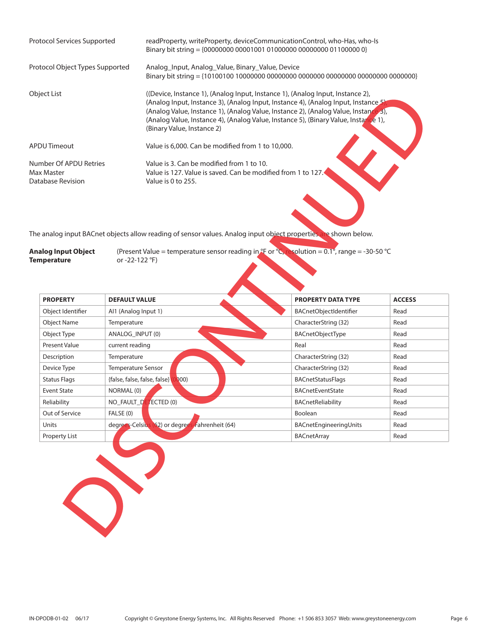| Protocol Services Supported                               | readProperty, writeProperty, deviceCommunicationControl, who-Has, who-Is<br>Binary bit string = {00000000 00001001 01000000 00000000 01100000 0}                                                                                                                                                                                                                                 |
|-----------------------------------------------------------|----------------------------------------------------------------------------------------------------------------------------------------------------------------------------------------------------------------------------------------------------------------------------------------------------------------------------------------------------------------------------------|
| Protocol Object Types Supported                           | Analog Input, Analog Value, Binary Value, Device                                                                                                                                                                                                                                                                                                                                 |
| Object List                                               | ((Device, Instance 1), (Analog Input, Instance 1), (Analog Input, Instance 2),<br>(Analog Input, Instance 3), (Analog Input, Instance 4), (Analog Input, Instance 5)<br>(Analog Value, Instance 1), (Analog Value, Instance 2), (Analog Value, Instance 3),<br>(Analog Value, Instance 4), (Analog Value, Instance 5), (Binary Value, Instance 1),<br>(Binary Value, Instance 2) |
| APDU Timeout                                              | Value is 6,000. Can be modified from 1 to 10,000.                                                                                                                                                                                                                                                                                                                                |
| Number Of APDU Retries<br>Max Master<br>Database Revision | Value is 3. Can be modified from 1 to 10.<br>Value is 127. Value is saved. Can be modified from 1 to 127.<br>Value is 0 to 255.                                                                                                                                                                                                                                                  |

| <b>Analog Input Object</b> | (Present Value = temperature sensor reading in $*$ F or $^{\circ}$ C, resolution = 0.1°, range = -30-50 $^{\circ}$ C |  |  |
|----------------------------|----------------------------------------------------------------------------------------------------------------------|--|--|
| <b>Temperature</b>         | or -22-122 °F)                                                                                                       |  |  |

|                                                       | ((Device, Instance 1), (Analog Input, Instance 1), (Analog Input, Instance 2),<br>(Analog Input, Instance 3), (Analog Input, Instance 4), (Analog Input, Instance 5)<br>(Analog Value, Instance 1), (Analog Value, Instance 2), (Analog Value, Instance 3),<br>(Analog Value, Instance 4), (Analog Value, Instance 5), (Binary Value, Instance 1),<br>(Binary Value, Instance 2) |                                                                                                           |               |  |  |  |
|-------------------------------------------------------|----------------------------------------------------------------------------------------------------------------------------------------------------------------------------------------------------------------------------------------------------------------------------------------------------------------------------------------------------------------------------------|-----------------------------------------------------------------------------------------------------------|---------------|--|--|--|
| <b>DU Timeout</b>                                     |                                                                                                                                                                                                                                                                                                                                                                                  | Value is 6,000. Can be modified from 1 to 10,000.                                                         |               |  |  |  |
| umber Of APDU Retries<br>ax Master<br>tabase Revision | Value is 0 to 255.                                                                                                                                                                                                                                                                                                                                                               | Value is 3. Can be modified from 1 to 10.<br>Value is 127. Value is saved. Can be modified from 1 to 127. |               |  |  |  |
| alog Input Object<br>mperature                        | e analog input BACnet objects allow reading of sensor values. Analog input object properties are shown below.<br>(Present Value = temperature sensor reading in $\mathcal{F}$ or $\mathcal{E}_{\mathcal{S}}$ esolution = 0.1°, range = -30-50 $\mathcal{C}$<br>or -22-122 °F)                                                                                                    |                                                                                                           |               |  |  |  |
| <b>PROPERTY</b>                                       | <b>DEFAULT VALUE</b>                                                                                                                                                                                                                                                                                                                                                             | <b>PROPERTY DATA TYPE</b>                                                                                 | <b>ACCESS</b> |  |  |  |
|                                                       |                                                                                                                                                                                                                                                                                                                                                                                  |                                                                                                           |               |  |  |  |
| Object Identifier                                     | Al1 (Analog Input 1)                                                                                                                                                                                                                                                                                                                                                             | BACnetObjectIdentifier                                                                                    | Read          |  |  |  |
| <b>Object Name</b>                                    | Temperature                                                                                                                                                                                                                                                                                                                                                                      | CharacterString (32)                                                                                      | Read          |  |  |  |
| Object Type                                           | ANALOG_INPUT (0)                                                                                                                                                                                                                                                                                                                                                                 | BACnetObjectType                                                                                          | Read          |  |  |  |
| Present Value                                         | current reading                                                                                                                                                                                                                                                                                                                                                                  | Real                                                                                                      | Read          |  |  |  |
| Description                                           | Temperature                                                                                                                                                                                                                                                                                                                                                                      | CharacterString (32)                                                                                      | Read          |  |  |  |
| Device Type                                           | Temperature Sensor                                                                                                                                                                                                                                                                                                                                                               | CharacterString (32)                                                                                      | Read          |  |  |  |
| <b>Status Flags</b>                                   | 000)<br>{false, false, false, false}                                                                                                                                                                                                                                                                                                                                             | BACnetStatusFlags                                                                                         | Read          |  |  |  |
| <b>Event State</b>                                    | NORMAL (0)                                                                                                                                                                                                                                                                                                                                                                       | <b>BACnetEventState</b>                                                                                   | Read          |  |  |  |
| Reliability                                           | NO_FAULT_DE<br>ECTED (0)                                                                                                                                                                                                                                                                                                                                                         | <b>BACnetReliability</b>                                                                                  | Read          |  |  |  |
| Out of Service                                        | FALSE (0)                                                                                                                                                                                                                                                                                                                                                                        | Boolean                                                                                                   | Read          |  |  |  |
| Units                                                 | degrees-Celsius (62) or degrees<br>Fahrenheit (64)                                                                                                                                                                                                                                                                                                                               | BACnetEngineeringUnits                                                                                    | Read          |  |  |  |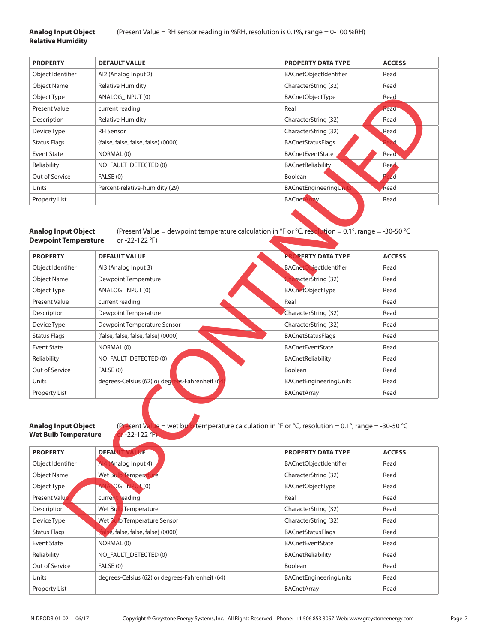# **Relative Humidity**

| <b>PROPERTY</b>      | <b>DEFAULT VALUE</b>                | <b>PROPERTY DATA TYPE</b> | <b>ACCESS</b> |
|----------------------|-------------------------------------|---------------------------|---------------|
| Object Identifier    | Al2 (Analog Input 2)                | BACnetObjectIdentifier    | Read          |
| <b>Object Name</b>   | <b>Relative Humidity</b>            | CharacterString (32)      | Read          |
| Object Type          | ANALOG INPUT (0)                    | <b>BACnetObjectType</b>   | Read          |
| <b>Present Value</b> | current reading                     | Real                      | Read          |
| Description          | <b>Relative Humidity</b>            | CharacterString (32)      | Read          |
| Device Type          | <b>RH</b> Sensor                    | CharacterString (32)      | Read          |
| <b>Status Flags</b>  | {false, false, false, false} (0000) | <b>BACnetStatusFlags</b>  |               |
| <b>Event State</b>   | NORMAL (0)                          | <b>BACnetEventState</b>   | Read          |
| Reliability          | NO FAULT DETECTED (0)               | <b>BACnetReliability</b>  | Read          |
| Out of Service       | FALSE (0)                           | <b>Boolean</b>            | ad            |
| Units                | Percent-relative-humidity (29)      | BACnetEngineeringUni      | Read          |
| Property List        |                                     | <b>BACnetA</b>            | Read          |
|                      |                                     |                           |               |

# **Dewpoint Temperature** or -22-122 °F)

| Object Type                                                                                                                                                                                    | ANALOG_INPUT (0)                                                                                                                                        | BACnetObjectType              | Read          |  |  |
|------------------------------------------------------------------------------------------------------------------------------------------------------------------------------------------------|---------------------------------------------------------------------------------------------------------------------------------------------------------|-------------------------------|---------------|--|--|
| <b>Present Value</b>                                                                                                                                                                           | current reading                                                                                                                                         | Real                          | Read          |  |  |
| Description                                                                                                                                                                                    | <b>Relative Humidity</b>                                                                                                                                | CharacterString (32)          | Read          |  |  |
| Device Type                                                                                                                                                                                    | <b>RH</b> Sensor                                                                                                                                        | CharacterString (32)          | Read          |  |  |
| <b>Status Flags</b>                                                                                                                                                                            | {false, false, false, false} (0000)                                                                                                                     | <b>BACnetStatusFlags</b>      |               |  |  |
| <b>Event State</b>                                                                                                                                                                             | NORMAL (0)                                                                                                                                              | <b>BACnetEventState</b>       | Read          |  |  |
| Reliability                                                                                                                                                                                    | NO_FAULT_DETECTED (0)                                                                                                                                   | <b>BACnetReliability</b>      | Read          |  |  |
| Out of Service                                                                                                                                                                                 | FALSE (0)                                                                                                                                               | Boolean                       | ad            |  |  |
| Units                                                                                                                                                                                          | Percent-relative-humidity (29)                                                                                                                          | <b>BACnetEngineeringUnit</b>  | Read          |  |  |
| <b>Property List</b>                                                                                                                                                                           |                                                                                                                                                         | <b>BACnetArray</b>            | Read          |  |  |
| <b>Analog Input Object</b><br><b>Dewpoint Temperature</b><br><b>PROPERTY</b>                                                                                                                   | (Present Value = dewpoint temperature calculation in °F or °C, resolution = $0.1^{\circ}$ , range = -30-50 °C<br>or -22-122 °F)<br><b>DEFAULT VALUE</b> | <b>PROPERTY DATA TYPE</b>     | <b>ACCESS</b> |  |  |
| Object Identifier                                                                                                                                                                              | Al3 (Analog Input 3)                                                                                                                                    | <b>BACnetObjectIdentifier</b> | Read          |  |  |
| <b>Object Name</b>                                                                                                                                                                             | Dewpoint Temperature                                                                                                                                    | racterString (32)             | Read          |  |  |
| Object Type                                                                                                                                                                                    | ANALOG_INPUT (0)                                                                                                                                        | <b>BACnetObjectType</b>       | Read          |  |  |
| <b>Present Value</b>                                                                                                                                                                           | current reading                                                                                                                                         | Real                          | Read          |  |  |
| Description                                                                                                                                                                                    | Dewpoint Temperature                                                                                                                                    | CharacterString (32)          | Read          |  |  |
| Device Type                                                                                                                                                                                    | Dewpoint Temperature Sensor                                                                                                                             | CharacterString (32)          | Read          |  |  |
| <b>Status Flags</b>                                                                                                                                                                            | {false, false, false, false} (0000)                                                                                                                     | <b>BACnetStatusFlags</b>      | Read          |  |  |
| <b>Event State</b>                                                                                                                                                                             | NORMAL (0)                                                                                                                                              | <b>BACnetEventState</b>       | Read          |  |  |
| Reliability                                                                                                                                                                                    | NO_FAULT_DETECTED (0)                                                                                                                                   | <b>BACnetReliability</b>      | Read          |  |  |
| Out of Service                                                                                                                                                                                 | FALSE (0)                                                                                                                                               | Boolean                       | Read          |  |  |
| Units                                                                                                                                                                                          | degrees-Celsius (62) or degre<br>es-Fahrenheit (6                                                                                                       | BACnetEngineeringUnits        | Read          |  |  |
| <b>Property List</b>                                                                                                                                                                           |                                                                                                                                                         | <b>BACnetArray</b>            | Read          |  |  |
| <b>Analog Input Object</b><br>(Present Value = wet bully temperature calculation in °F or °C, resolution = 0.1°, range = -30-50 °C<br>$-22-122$ <sup>°F</sup> )<br><b>Wet Bulb Temperature</b> |                                                                                                                                                         |                               |               |  |  |
| <b>PROPERTY</b>                                                                                                                                                                                | <b>DEFAU</b><br>JE                                                                                                                                      | <b>PROPERTY DATA TYPE</b>     | <b>ACCESS</b> |  |  |
| Object Identifier                                                                                                                                                                              | Al4 (Analog Input 4)                                                                                                                                    | BACnetObjectIdentifier        | Read          |  |  |
| <b>Object Name</b>                                                                                                                                                                             | Wet Bulb Temperature                                                                                                                                    | CharacterString (32)          | Read          |  |  |
| Object Type                                                                                                                                                                                    | LOG_INPUT(0)<br>AN/                                                                                                                                     | BACnetObjectType              | Read          |  |  |
| Present Value<br><b>Description</b>                                                                                                                                                            | current reading                                                                                                                                         | Real                          | Read          |  |  |
|                                                                                                                                                                                                | Temperature<br>Wet Bulk                                                                                                                                 | CharacterString (32)          | Read          |  |  |
| Device Type                                                                                                                                                                                    | Wet Bulb Temperature Sensor                                                                                                                             | CharacterString (32)          | Read          |  |  |
| <b>Status Flags</b>                                                                                                                                                                            | e, false, false, false} (0000)                                                                                                                          | <b>BACnetStatusFlags</b>      | Read          |  |  |

# Wet Bulb Temperature **OF-22-122 °F**)

| <b>PROPERTY</b>     | <b>DEFAUL</b><br><b>VALUE</b>                   | <b>PROPERTY DATA TYPE</b> | <b>ACCESS</b> |
|---------------------|-------------------------------------------------|---------------------------|---------------|
| Object Identifier   | (Analog Input 4)<br>H                           | BACnetObjectIdentifier    | Read          |
| <b>Object Name</b>  | Wet Bu<br><b>Temperature</b>                    | CharacterString (32)      | Read          |
| Object Type         | LOG_INP<br>$\mathcal{T}(0)$<br>A.               | BACnetObjectType          | Read          |
| Present Value       | eading<br>curren                                | Real                      | Read          |
| Description         | Wet Bu<br>Temperature                           | CharacterString (32)      | Read          |
| Device Type         | b Temperature Sensor<br>Wet B                   | CharacterString (32)      | Read          |
| <b>Status Flags</b> | e, false, false, false} (0000)                  | <b>BACnetStatusFlags</b>  | Read          |
| Event State         | NORMAL (0)                                      | <b>BACnetEventState</b>   | Read          |
| Reliability         | NO FAULT DETECTED (0)                           | <b>BACnetReliability</b>  | Read          |
| Out of Service      | FALSE (0)                                       | Boolean                   | Read          |
| Units               | degrees-Celsius (62) or degrees-Fahrenheit (64) | BACnetEngineeringUnits    | Read          |
| Property List       |                                                 | BACnetArray               | Read          |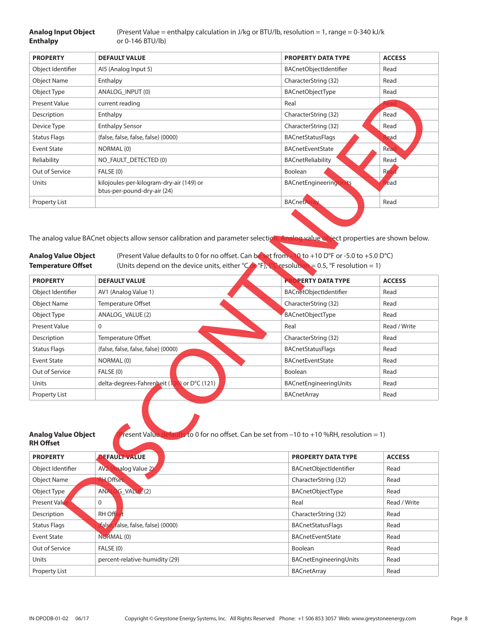**Analog Input Object** (Present Value = enthalpy calculation in J/kg or BTU/lb, resolution = 1, range = 0-340 kJ/k<br>**Enthalpy** or 0-146 BTU/lb) **Enthalpy** or 0-146 BTU/lb)

| <b>PROPERTY</b>     | <b>DEFAULT VALUE</b>                                                    | <b>PROPERTY DATA TYPE</b> | <b>ACCESS</b> |
|---------------------|-------------------------------------------------------------------------|---------------------------|---------------|
| Object Identifier   | Al5 (Analog Input 5)                                                    | BACnetObjectIdentifier    | Read          |
| <b>Object Name</b>  | Enthalpy                                                                | CharacterString (32)      | Read          |
| Object Type         | ANALOG INPUT (0)                                                        | BACnetObjectType          | Read          |
| Present Value       | current reading                                                         | Real                      | kead          |
| Description         | Enthalpy                                                                | CharacterString (32)      | Read          |
| Device Type         | <b>Enthalpy Sensor</b>                                                  | CharacterString (32)      | Read          |
| <b>Status Flags</b> | {false, false, false, false} (0000)                                     | <b>BACnetStatusFlags</b>  | lead          |
| <b>Event State</b>  | NORMAL (0)                                                              | <b>BACnetEventState</b>   | Read          |
| Reliability         | NO FAULT DETECTED (0)                                                   | BACnetReliability         | Read          |
| Out of Service      | FALSE (0)                                                               | Boolean                   | Re:           |
| Units               | kilojoules-per-kilogram-dry-air (149) or<br>btus-per-pound-dry-air (24) | BACnetEngineering         | lead          |
| Property List       |                                                                         | <b>BACnetAr</b>           | Read          |
|                     |                                                                         |                           |               |

| Object Type                                             | ANALOG_INPUT (0)                                                                                                                                                                                                                                                                                                                                                    | <b>BACnetObjectType</b>   | Read          |
|---------------------------------------------------------|---------------------------------------------------------------------------------------------------------------------------------------------------------------------------------------------------------------------------------------------------------------------------------------------------------------------------------------------------------------------|---------------------------|---------------|
| Present Value                                           | current reading                                                                                                                                                                                                                                                                                                                                                     | Real                      |               |
| Description                                             | Enthalpy                                                                                                                                                                                                                                                                                                                                                            | CharacterString (32)      | Read          |
| Device Type                                             | <b>Enthalpy Sensor</b>                                                                                                                                                                                                                                                                                                                                              | CharacterString (32)      | Read          |
| <b>Status Flags</b>                                     | {false, false, false, false} (0000)                                                                                                                                                                                                                                                                                                                                 | <b>BACnetStatusFlags</b>  | ead           |
| <b>Event State</b>                                      | NORMAL (0)                                                                                                                                                                                                                                                                                                                                                          | <b>BACnetEventState</b>   | Rea           |
| Reliability                                             | NO_FAULT_DETECTED (0)                                                                                                                                                                                                                                                                                                                                               | BACnetReliability         | Read          |
| Out of Service                                          | FALSE (0)                                                                                                                                                                                                                                                                                                                                                           | Boolean                   | Re:           |
| Units                                                   | kilojoules-per-kilogram-dry-air (149) or<br>btus-per-pound-dry-air (24)                                                                                                                                                                                                                                                                                             | BACnetEngineeringUnits    | lead          |
| Property List                                           |                                                                                                                                                                                                                                                                                                                                                                     | <b>BACnetAr</b>           | Read          |
| <b>Analog Value Object</b><br><b>Temperature Offset</b> | The analog value BACnet objects allow sensor calibration and parameter selection. Analog value object properties are shown below.<br>(Present Value defaults to 0 for no offset. Can be set from 10 to +10 D°F or -5.0 to +5.0 D°C)<br>(Units depend on the device units, either ${}^{\circ}$ Cop F), ${}^{\circ}$ resolution = 0.5, ${}^{\circ}$ F resolution = 1) |                           |               |
| <b>PROPERTY</b>                                         | <b>DEFAULT VALUE</b>                                                                                                                                                                                                                                                                                                                                                | <b>PROPERTY DATA TYPE</b> | <b>ACCESS</b> |
| Object Identifier                                       | AV1 (Analog Value 1)                                                                                                                                                                                                                                                                                                                                                | BACnetObjectIdentifier    | Read          |
| <b>Object Name</b>                                      | Temperature Offset                                                                                                                                                                                                                                                                                                                                                  | CharacterString (32)      | Read          |
| Object Type                                             | ANALOG_VALUE (2)                                                                                                                                                                                                                                                                                                                                                    | <b>BACnetObjectType</b>   | Read          |
| Present Value                                           | 0                                                                                                                                                                                                                                                                                                                                                                   | Real                      | Read / Write  |
| Description                                             | Temperature Offset                                                                                                                                                                                                                                                                                                                                                  | CharacterString (32)      | Read          |
| <b>Status Flags</b>                                     | {false, false, false, false} (0000)                                                                                                                                                                                                                                                                                                                                 | <b>BACnetStatusFlags</b>  | Read          |
| <b>Event State</b>                                      | NORMAL (0)                                                                                                                                                                                                                                                                                                                                                          | <b>BACnetEventState</b>   | Read          |
| Out of Service                                          | FALSE (0)                                                                                                                                                                                                                                                                                                                                                           | Boolean                   | Read          |
| Units                                                   | delta-degrees-Fahrenheit (120) or D°C (121)                                                                                                                                                                                                                                                                                                                         | BACnetEngineeringUnits    | Read          |
| Property List                                           |                                                                                                                                                                                                                                                                                                                                                                     | <b>BACnetArray</b>        | Read          |
| <b>Analog Value Object</b><br><b>RH Offset</b>          | resent Value defaults to 0 for no offset. Can be set from -10 to +10 %RH, resolution = 1)                                                                                                                                                                                                                                                                           |                           |               |
| <b>PROPERTY</b>                                         | <b>DEFAULT VALUE</b>                                                                                                                                                                                                                                                                                                                                                | PROPERTY DATA TYPE        | <b>ACCESS</b> |
| Object Identifier                                       | AV2 (Analog Value 2)                                                                                                                                                                                                                                                                                                                                                | BACnetObjectIdentifier    | Read          |
| <b>Object Name</b>                                      | <b>H</b> Offset                                                                                                                                                                                                                                                                                                                                                     | CharacterString (32)      | Read          |
| Object Type                                             | ANALOG_VALUE <sup>2</sup> (2)                                                                                                                                                                                                                                                                                                                                       | BACnetObjectType          | Read          |
| <b>Present Value</b>                                    | 0                                                                                                                                                                                                                                                                                                                                                                   | Real                      | Read / Write  |
| Description                                             | <b>RH</b> Offset                                                                                                                                                                                                                                                                                                                                                    | CharacterString (32)      | Read          |
| <b>Status Flags</b>                                     | fals<br>false, false, false} (0000)                                                                                                                                                                                                                                                                                                                                 | <b>BACnetStatusFlags</b>  | Read          |
| <b>Fyent State</b>                                      | NORMAL (0)                                                                                                                                                                                                                                                                                                                                                          | <b>RACnetFyentState</b>   | Read          |

| resent Value defaults to 0 for no offset. Can be set from -10 to +10 %RH, resolution = 1)<br>Analog Value Object<br>RH Offset |                                             |                           |               |  |  |
|-------------------------------------------------------------------------------------------------------------------------------|---------------------------------------------|---------------------------|---------------|--|--|
| <b>PROPERTY</b>                                                                                                               | <b>DEFAULT VALUE</b>                        | <b>PROPERTY DATA TYPE</b> | <b>ACCESS</b> |  |  |
| Object Identifier                                                                                                             | nalog Value 2<br>AV <sub>2</sub>            | BACnetObjectIdentifier    | Read          |  |  |
| <b>Object Name</b>                                                                                                            | <b>RH</b> Offset                            | CharacterString (32)      | Read          |  |  |
| Object Type                                                                                                                   | G VALUE (2)<br><b>ANAL</b>                  | <b>BACnetObjectType</b>   | Read          |  |  |
| <b>Present Value</b>                                                                                                          | $\Omega$                                    | Real                      | Read / Write  |  |  |
| Description                                                                                                                   | RH Off                                      | CharacterString (32)      | Read          |  |  |
| <b>Status Flags</b>                                                                                                           | <b>false</b><br>false, false, false} (0000) | <b>BACnetStatusFlags</b>  | Read          |  |  |
| Event State                                                                                                                   | NORMAL <sub>(0)</sub>                       | <b>BACnetEventState</b>   | Read          |  |  |
| Out of Service                                                                                                                | FALSE (0)                                   | <b>Boolean</b>            | Read          |  |  |
| Units                                                                                                                         | percent-relative-humidity (29)              | BACnetEngineeringUnits    | Read          |  |  |
| <b>Property List</b>                                                                                                          |                                             | <b>BACnetArray</b>        | Read          |  |  |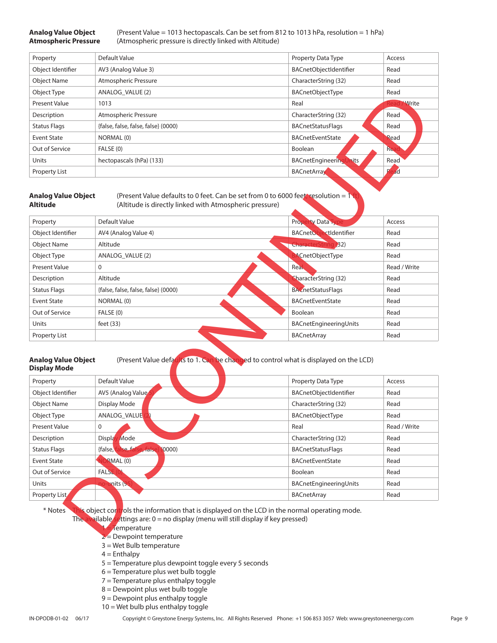**Analog Value Object** (Present Value = 1013 hectopascals. Can be set from 812 to 1013 hPa, resolution = 1 hPa) **Atmospheric Pressure** (Atmospheric pressure is directly linked with Altitude)

| Property             | Default Value                       | Property Data Type         | Access       |
|----------------------|-------------------------------------|----------------------------|--------------|
| Object Identifier    | AV3 (Analog Value 3)                | BACnetObjectIdentifier     | Read         |
| <b>Object Name</b>   | Atmospheric Pressure                | CharacterString (32)       | Read         |
| Object Type          | ANALOG VALUE (2)                    | <b>BACnetObjectType</b>    | Read         |
| <b>Present Value</b> | 1013                                | Real                       | <b>Write</b> |
| Description          | Atmospheric Pressure                | CharacterString (32)       | Read         |
| <b>Status Flags</b>  | {false, false, false, false} (0000) | <b>BACnetStatusFlags</b>   | Read         |
| Event State          | NORMAL (0)                          | <b>BACnetEventState</b>    | Read         |
| Out of Service       | FALSE (0)                           | Boolean                    | <b>Re</b>    |
| Units                | hectopascals (hPa) (133)            | hits<br>BACnetEngineeringl | Read         |
| <b>Property List</b> |                                     | <b>BACnetArray</b>         | ad           |

|                                                                                                                                                                                                                                                                                   | ANALOG_VALUE (2)                                                                                                                                                                                                                                                                                                                                      | <b>BACnetObjectType</b>                                                                                     | Read         |
|-----------------------------------------------------------------------------------------------------------------------------------------------------------------------------------------------------------------------------------------------------------------------------------|-------------------------------------------------------------------------------------------------------------------------------------------------------------------------------------------------------------------------------------------------------------------------------------------------------------------------------------------------------|-------------------------------------------------------------------------------------------------------------|--------------|
| <b>Present Value</b>                                                                                                                                                                                                                                                              | 1013                                                                                                                                                                                                                                                                                                                                                  | Real                                                                                                        | Write        |
| Description                                                                                                                                                                                                                                                                       | Atmospheric Pressure                                                                                                                                                                                                                                                                                                                                  | CharacterString (32)                                                                                        | Read         |
| <b>Status Flags</b>                                                                                                                                                                                                                                                               | {false, false, false, false} (0000)                                                                                                                                                                                                                                                                                                                   | <b>BACnetStatusFlags</b>                                                                                    | Read         |
| <b>Event State</b>                                                                                                                                                                                                                                                                | NORMAL (0)                                                                                                                                                                                                                                                                                                                                            | <b>BACnetEventState</b>                                                                                     | Read         |
| Out of Service                                                                                                                                                                                                                                                                    | FALSE (0)                                                                                                                                                                                                                                                                                                                                             | Boolean                                                                                                     | Rea          |
| Units                                                                                                                                                                                                                                                                             | hectopascals (hPa) (133)                                                                                                                                                                                                                                                                                                                              | <b>BACnetEngineeringUnits</b>                                                                               | Read         |
| <b>Property List</b>                                                                                                                                                                                                                                                              |                                                                                                                                                                                                                                                                                                                                                       | <b>BACnetArray</b>                                                                                          | ad           |
| <b>Analog Value Object</b><br><b>Altitude</b>                                                                                                                                                                                                                                     | (Present Value defaults to 0 feet. Can be set from 0 to 6000 feet, resolution = 1)<br>(Altitude is directly linked with Atmospheric pressure)                                                                                                                                                                                                         |                                                                                                             |              |
| Property                                                                                                                                                                                                                                                                          | Default Value                                                                                                                                                                                                                                                                                                                                         | <b>Property Data Typ</b>                                                                                    | Access       |
| Object Identifier                                                                                                                                                                                                                                                                 | AV4 (Analog Value 4)                                                                                                                                                                                                                                                                                                                                  | BACnetObjectIdentifier                                                                                      | Read         |
| <b>Object Name</b>                                                                                                                                                                                                                                                                | Altitude                                                                                                                                                                                                                                                                                                                                              | <b>CharacterString (32)</b>                                                                                 | Read         |
| Object Type                                                                                                                                                                                                                                                                       | ANALOG_VALUE (2)                                                                                                                                                                                                                                                                                                                                      | <b>ACnetObjectType</b>                                                                                      | Read         |
| <b>Present Value</b>                                                                                                                                                                                                                                                              | 0                                                                                                                                                                                                                                                                                                                                                     | Real                                                                                                        | Read / Write |
| Description                                                                                                                                                                                                                                                                       | Altitude                                                                                                                                                                                                                                                                                                                                              | CharacterString (32)                                                                                        | Read         |
| <b>Status Flags</b>                                                                                                                                                                                                                                                               | {false, false, false, false} (0000)                                                                                                                                                                                                                                                                                                                   | <b>BACnetStatusFlags</b>                                                                                    | Read         |
| <b>Event State</b>                                                                                                                                                                                                                                                                | NORMAL (0)                                                                                                                                                                                                                                                                                                                                            | <b>BACnetEventState</b>                                                                                     | Read         |
| Out of Service                                                                                                                                                                                                                                                                    | FALSE (0)                                                                                                                                                                                                                                                                                                                                             | Boolean                                                                                                     | Read         |
|                                                                                                                                                                                                                                                                                   |                                                                                                                                                                                                                                                                                                                                                       |                                                                                                             |              |
|                                                                                                                                                                                                                                                                                   | feet $(33)$                                                                                                                                                                                                                                                                                                                                           | BACnetEngineeringUnits                                                                                      | Read         |
|                                                                                                                                                                                                                                                                                   |                                                                                                                                                                                                                                                                                                                                                       | <b>BACnetArray</b>                                                                                          | Read         |
|                                                                                                                                                                                                                                                                                   | Default Value                                                                                                                                                                                                                                                                                                                                         | (Present Value defaults to 1. Can be changed to control what is displayed on the LCD)<br>Property Data Type | Access       |
|                                                                                                                                                                                                                                                                                   | AV5 (Analog Value                                                                                                                                                                                                                                                                                                                                     | BACnetObjectIdentifier                                                                                      | Read         |
|                                                                                                                                                                                                                                                                                   | Display Mode                                                                                                                                                                                                                                                                                                                                          | CharacterString (32)                                                                                        | Read         |
|                                                                                                                                                                                                                                                                                   | ANALOG_VALUE                                                                                                                                                                                                                                                                                                                                          | BACnetObjectType                                                                                            | Read         |
|                                                                                                                                                                                                                                                                                   | 0                                                                                                                                                                                                                                                                                                                                                     | Real                                                                                                        | Read / Write |
|                                                                                                                                                                                                                                                                                   | Display Mode                                                                                                                                                                                                                                                                                                                                          | CharacterString (32)                                                                                        | Read         |
|                                                                                                                                                                                                                                                                                   | false, false, fal<br>(0000)<br>$e$ $\frac{1}{2}$ $\frac{1}{2}$ $\frac{1}{2}$ $\frac{1}{2}$ $\frac{1}{2}$ $\frac{1}{2}$ $\frac{1}{2}$ $\frac{1}{2}$ $\frac{1}{2}$ $\frac{1}{2}$ $\frac{1}{2}$ $\frac{1}{2}$ $\frac{1}{2}$ $\frac{1}{2}$ $\frac{1}{2}$ $\frac{1}{2}$ $\frac{1}{2}$ $\frac{1}{2}$ $\frac{1}{2}$ $\frac{1}{2}$ $\frac{1}{2}$ $\frac{1}{2$ | <b>BACnetStatusFlags</b>                                                                                    | Read         |
|                                                                                                                                                                                                                                                                                   | <b>JORMAL</b> (0)                                                                                                                                                                                                                                                                                                                                     | BACnetEventState                                                                                            | Read         |
|                                                                                                                                                                                                                                                                                   | FALSE <sub>(0</sub>                                                                                                                                                                                                                                                                                                                                   | Boolean                                                                                                     | Read         |
| Units<br>Property List<br><b>Analog Value Object</b><br><b>Display Mode</b><br>Property<br>Object Identifier<br><b>Object Name</b><br>Object Type<br><b>Present Value</b><br>Description<br><b>Status Flags</b><br><b>Event State</b><br>Out of Service<br>Units<br>Property List | mits (95                                                                                                                                                                                                                                                                                                                                              | BACnetEngineeringUnits<br><b>BACnetArray</b>                                                                | Read<br>Read |

#### **Analog Value Object** (Present Value defaults to 1. Can be changed to control what is displayed on the LCD) **Display Mode**

| Property            | Default Value                                     | Property Data Type       | Access       |
|---------------------|---------------------------------------------------|--------------------------|--------------|
| Object Identifier   | AV5 (Analog Value                                 | BACnetObjectIdentifier   | Read         |
| <b>Object Name</b>  | Display Mode                                      | CharacterString (32)     | Read         |
| Object Type         | ANALOG VALUE                                      | <b>BACnetObjectType</b>  | Read         |
| Present Value       | $\mathbf 0$                                       | Real                     | Read / Write |
| Description         | Mode<br><b>Displa</b>                             | CharacterString (32)     | Read         |
| <b>Status Flags</b> | {false,<br><b>Ye fat</b><br>(0000)<br>$rac{1}{2}$ | <b>BACnetStatusFlags</b> | Read         |
| <b>Event State</b>  | RMAL (0)                                          | <b>BACnetEventState</b>  | Read         |
| Out of Service      | <b>FALSE</b>                                      | Boolean                  | Read         |
| Units               | units (95                                         | BACnetEngineeringUnits   | Read         |
| Property List       |                                                   | <b>BACnetArray</b>       | Read         |

- Temperature
- $2$  = Dewpoint temperature
- 3 = Wet Bulb temperature
- $4 = Enthalpy$
- 5 = Temperature plus dewpoint toggle every 5 seconds
- 6 = Temperature plus wet bulb toggle
- 7 = Temperature plus enthalpy toggle
- 8 = Dewpoint plus wet bulb toggle
- 9 = Dewpoint plus enthalpy toggle
- 10 = Wet bulb plus enthalpy toggle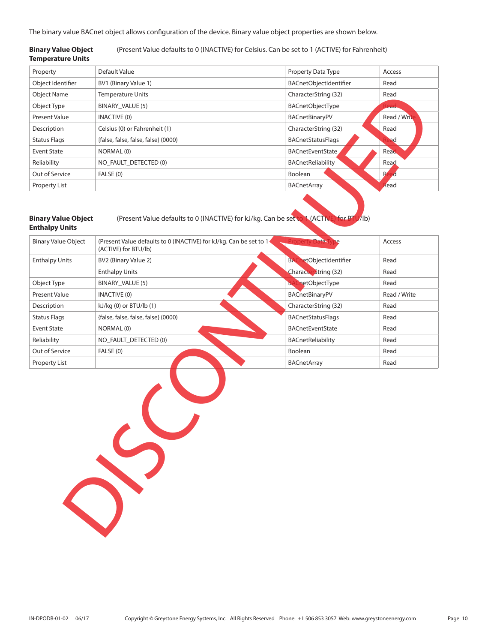The binary value BACnet object allows configuration of the device. Binary value object properties are shown below.

#### **Binary Value Object** (Present Value defaults to 0 (INACTIVE) for Celsius. Can be set to 1 (ACTIVE) for Fahrenheit) **Temperature Units**

| Property            | Default Value                       | Property Data Type       | Access       |  |
|---------------------|-------------------------------------|--------------------------|--------------|--|
| Object Identifier   | BV1 (Binary Value 1)                | BACnetObjectIdentifier   | Read         |  |
| <b>Object Name</b>  | <b>Temperature Units</b>            | CharacterString (32)     | Read         |  |
| Object Type         | BINARY VALUE (5)                    | <b>BACnetObjectType</b>  | lead.        |  |
| Present Value       | <b>INACTIVE (0)</b>                 | BACnetBinaryPV           | Read / Write |  |
| Description         | Celsius (0) or Fahrenheit (1)       | CharacterString (32)     | Read         |  |
| <b>Status Flags</b> | {false, false, false, false} (0000) | <b>BACnetStatusFlags</b> | ad           |  |
| Event State         | NORMAL (0)                          | <b>BACnetEventState</b>  | Read         |  |
| Reliability         | NO FAULT DETECTED (0)               | BACnetReliability        | Read         |  |
| Out of Service      | FALSE (0)                           | Boolean                  | R            |  |
| Property List       |                                     | <b>BACnetArray</b>       | Read         |  |

## **Binary Value Object** (Present Value defaults to 0 (INACTIVE) for kJ/kg. Can be set to 1 (ACTIV **Enthalpy Units**

| <b>Binary Value Object</b> | (Present Value defaults to 0 (INACTIVE) for kJ/kg. Can be set to 1<br>(ACTIVE) for BTU/lb) | Property Data T                  | Access       |
|----------------------------|--------------------------------------------------------------------------------------------|----------------------------------|--------------|
| <b>Enthalpy Units</b>      | BV2 (Binary Value 2)                                                                       | etObjectIdentifier<br><b>BAC</b> | Read         |
|                            | <b>Enthalpy Units</b>                                                                      | Character <sup>String</sup> (32) | Read         |
| Object Type                | BINARY_VALUE (5)                                                                           | <b>BACnetObjectType</b>          | Read         |
| Present Value              | <b>INACTIVE (0)</b>                                                                        | BACnetBinaryPV                   | Read / Write |
| Description                | kJ/kg (0) or BTU/lb (1)                                                                    | CharacterString (32)             | Read         |
| <b>Status Flags</b>        | {false, false, false, false} (0000)                                                        | <b>BACnetStatusFlags</b>         | Read         |
| <b>Event State</b>         | NORMAL (0)                                                                                 | <b>BACnetEventState</b>          | Read         |
| Reliability                | NO_FAULT_DETECTED (0)                                                                      | BACnetReliability                | Read         |
| Out of Service             | FALSE (0)                                                                                  | Boolean                          | Read         |
| Property List              |                                                                                            | <b>BACnetArray</b>               | Read         |
|                            | $\mathcal{C}$                                                                              |                                  |              |